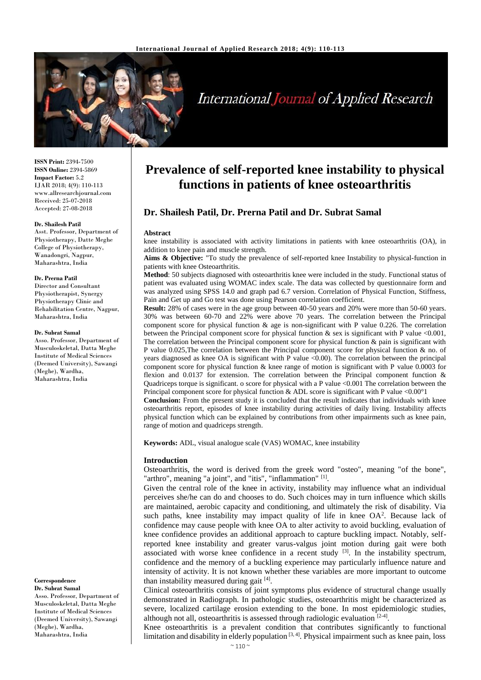

# **International Journal of Applied Research**

**ISSN Print:** 2394-7500 **ISSN Online:** 2394-5869 **Impact Factor:** 5.2 IJAR 2018; 4(9): 110-113 www.allresearchjournal.com Received: 25-07-2018 Accepted: 27-08-2018

#### **Dr. Shailesh Patil**

Asst. Professor, Department of Physiotherapy, Datte Meghe College of Physiotherapy, Wanadongri, Nagpur, Maharashtra, India

#### **Dr. Prerna Patil**

Director and Consultant Physiotherapist, Synergy Physiotherapy Clinic and Rehabilitation Centre, Nagpur, Maharashtra, India

#### **Dr. Subrat Samal**

Asso. Professor, Department of Musculoskeletal, Datta Meghe Institute of Medical Sciences (Deemed University), Sawangi (Meghe), Wardha, Maharashtra, India

# **Correspondence**

**Dr. Subrat Samal** Asso. Professor, Department of Musculoskeletal, Datta Meghe Institute of Medical Sciences (Deemed University), Sawangi (Meghe), Wardha, Maharashtra, India

# **Prevalence of self-reported knee instability to physical functions in patients of knee osteoarthritis**

# **Dr. Shailesh Patil, Dr. Prerna Patil and Dr. Subrat Samal**

#### **Abstract**

knee instability is associated with activity limitations in patients with knee osteoarthritis (OA), in addition to knee pain and muscle strength.

**Aims & Objective:** "To study the prevalence of self-reported knee Instability to physical-function in patients with knee Osteoarthritis.

**Method**: 50 subjects diagnosed with osteoarthritis knee were included in the study. Functional status of patient was evaluated using WOMAC index scale. The data was collected by questionnaire form and was analyzed using SPSS 14.0 and graph pad 6.7 version. Correlation of Physical Function, Stiffness, Pain and Get up and Go test was done using Pearson correlation coefficient.

**Result:** 28% of cases were in the age group between 40-50 years and 20% were more than 50-60 years. 30% was between 60-70 and 22% were above 70 years. The correlation between the Principal component score for physical function & age is non-significant with P value 0.226. The correlation between the Principal component score for physical function & sex is significant with P value <0.001, The correlation between the Principal component score for physical function  $\&$  pain is significant with P value 0.025,The correlation between the Principal component score for physical function & no. of years diagnosed as knee OA is significant with P value  $\langle 0.00 \rangle$ . The correlation between the principal component score for physical function & knee range of motion is significant with P value 0.0003 for flexion and 0.0137 for extension. The correlation between the Principal component function & Quadriceps torque is significant. o score for physical with a P value <0.001 The correlation between the Principal component score for physical function & ADL score is significant with P value <0.00°1

**Conclusion:** From the present study it is concluded that the result indicates that individuals with knee osteoarthritis report, episodes of knee instability during activities of daily living. Instability affects physical function which can be explained by contributions from other impairments such as knee pain, range of motion and quadriceps strength.

**Keywords:** ADL, visual analogue scale (VAS) WOMAC, knee instability

#### **Introduction**

Osteoarthritis, the word is derived from the greek word "osteo", meaning "of the bone", "arthro", meaning "a joint", and "itis", "inflammation" [1].

Given the central role of the knee in activity, instability may influence what an individual perceives she/he can do and chooses to do. Such choices may in turn influence which skills are maintained, aerobic capacity and conditioning, and ultimately the risk of disability. Via such paths, knee instability may impact quality of life in knee  $OA^2$ . Because lack of confidence may cause people with knee OA to alter activity to avoid buckling, evaluation of knee confidence provides an additional approach to capture buckling impact. Notably, selfreported knee instability and greater varus-valgus joint motion during gait were both associated with worse knee confidence in a recent study  $[3]$ . In the instability spectrum, confidence and the memory of a buckling experience may particularly influence nature and intensity of activity. It is not known whether these variables are more important to outcome than instability measured during gait [4].

Clinical osteoarthritis consists of joint symptoms plus evidence of structural change usually demonstrated in Radiograph. In pathologic studies, osteoarthritis might be characterized as severe, localized cartilage erosion extending to the bone. In most epidemiologic studies, although not all, osteoarthritis is assessed through radiologic evaluation [2-4].

Knee osteoarthritis is a prevalent condition that contributes significantly to functional limitation and disability in elderly population  $[3, 4]$ . Physical impairment such as knee pain, loss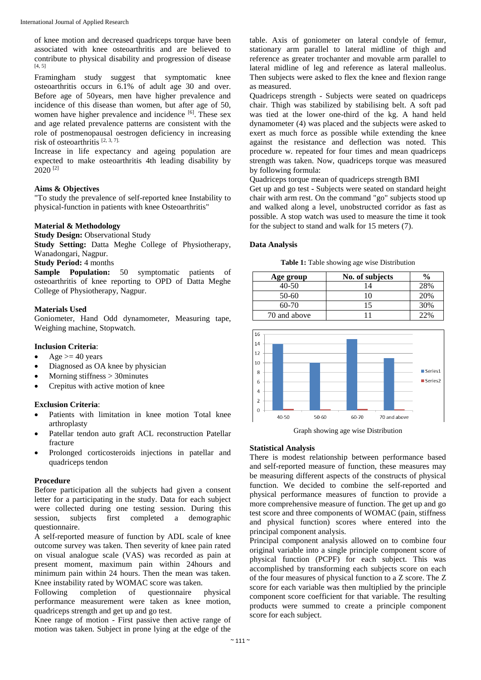of knee motion and decreased quadriceps torque have been associated with knee osteoarthritis and are believed to contribute to physical disability and progression of disease [4, 5]

Framingham study suggest that symptomatic knee osteoarthritis occurs in 6.1% of adult age 30 and over. Before age of 50years, men have higher prevalence and incidence of this disease than women, but after age of 50, women have higher prevalence and incidence [6]. These sex and age related prevalence patterns are consistent with the role of postmenopausal oestrogen deficiency in increasing risk of osteoarthritis [2, 3, 7].

Increase in life expectancy and ageing population are expected to make osteoarthritis 4th leading disability by  $2020$ <sup>[2]</sup>

# **Aims & Objectives**

"To study the prevalence of self-reported knee Instability to physical-function in patients with knee Osteoarthritis"

#### **Material & Methodology**

**Study Design:** Observational Study

**Study Setting:** Datta Meghe College of Physiotherapy, Wanadongari, Nagpur.

#### **Study Period:** 4 months

**Sample Population:** 50 symptomatic patients of osteoarthritis of knee reporting to OPD of Datta Meghe College of Physiotherapy, Nagpur.

#### **Materials Used**

Goniometer, Hand Odd dynamometer, Measuring tape, Weighing machine, Stopwatch.

# **Inclusion Criteria**:

- Age  $>= 40$  years
- Diagnosed as OA knee by physician
- Morning stiffness > 30 minutes
- Crepitus with active motion of knee

# **Exclusion Criteria**:

- Patients with limitation in knee motion Total knee arthroplasty
- Patellar tendon auto graft ACL reconstruction Patellar fracture
- Prolonged corticosteroids injections in patellar and quadriceps tendon

#### **Procedure**

Before participation all the subjects had given a consent letter for a participating in the study. Data for each subject were collected during one testing session. During this session, subjects first completed a demographic questionnaire.

A self-reported measure of function by ADL scale of knee outcome survey was taken. Then severity of knee pain rated on visual analogue scale (VAS) was recorded as pain at present moment, maximum pain within 24hours and minimum pain within 24 hours. Then the mean was taken. Knee instability rated by WOMAC score was taken.

Following completion of questionnaire physical performance measurement were taken as knee motion, quadriceps strength and get up and go test.

Knee range of motion - First passive then active range of motion was taken. Subject in prone lying at the edge of the

table. Axis of goniometer on lateral condyle of femur, stationary arm parallel to lateral midline of thigh and reference as greater trochanter and movable arm parallel to lateral midline of leg and reference as lateral malleolus. Then subjects were asked to flex the knee and flexion range as measured.

Quadriceps strength - Subjects were seated on quadriceps chair. Thigh was stabilized by stabilising belt. A soft pad was tied at the lower one-third of the kg. A hand held dynamometer (4) was placed and the subjects were asked to exert as much force as possible while extending the knee against the resistance and deflection was noted. This procedure w. repeated for four times and mean quadriceps strength was taken. Now, quadriceps torque was measured by following formula:

Quadriceps torque mean of quadriceps strength BMI

Get up and go test **-** Subjects were seated on standard height chair with arm rest. On the command "go" subjects stood up and walked along a level, unobstructed corridor as fast as possible. A stop watch was used to measure the time it took for the subject to stand and walk for 15 meters (7).

## **Data Analysis**

**Table 1:** Table showing age wise Distribution

| Age group    | No. of subjects | $\frac{6}{9}$ |
|--------------|-----------------|---------------|
| $40 - 50$    |                 | 28%           |
| 50-60        |                 | 20%           |
| $60-70$      |                 | 30%           |
| 70 and above |                 |               |



Graph showing age wise Distribution

#### **Statistical Analysis**

There is modest relationship between performance based and self-reported measure of function, these measures may be measuring different aspects of the constructs of physical function. We decided to combine the self-reported and physical performance measures of function to provide a more comprehensive measure of function. The get up and go test score and three components of WOMAC (pain, stiffness and physical function) scores where entered into the principal component analysis.

Principal component analysis allowed on to combine four original variable into a single principle component score of physical function (PCPF) for each subject. This was accomplished by transforming each subjects score on each of the four measures of physical function to a Z score. The Z score for each variable was then multiplied by the principle component score coefficient for that variable. The resulting products were summed to create a principle component score for each subject.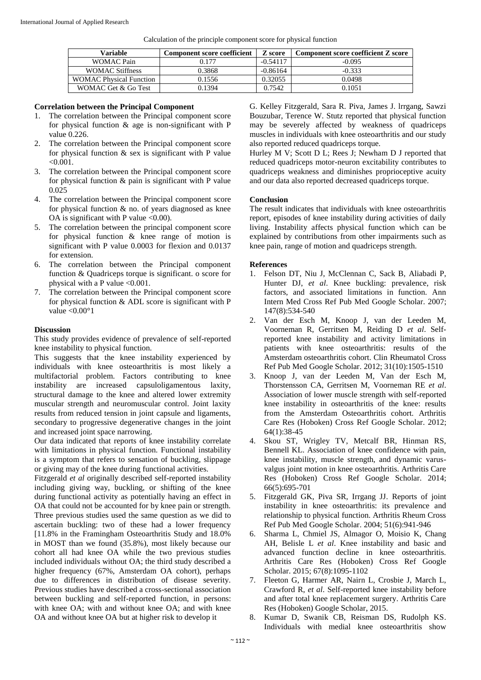| Calculation of the principle component score for physical function |  |  |  |
|--------------------------------------------------------------------|--|--|--|
|                                                                    |  |  |  |

| Variable                       | <b>Component score coefficient</b> | Z score    | <b>Component score coefficient Z score</b> |
|--------------------------------|------------------------------------|------------|--------------------------------------------|
| WOMAC Pain                     | 0.177                              | $-0.54117$ | $-0.095$                                   |
| <b>WOMAC Stiffness</b>         | 0.3868                             | $-0.86164$ | $-0.333$                                   |
| <b>WOMAC Physical Function</b> | 0.1556                             | 0.32055    | 0.0498                                     |
| WOMAC Get & Go Test            | 0.1394                             | 0.7542     | 0.1051                                     |

#### **Correlation between the Principal Component**

- 1. The correlation between the Principal component score for physical function & age is non-significant with P value 0.226.
- 2. The correlation between the Principal component score for physical function & sex is significant with P value  $< 0.001$
- 3. The correlation between the Principal component score for physical function  $\&$  pain is significant with P value 0.025
- 4. The correlation between the Principal component score for physical function  $\&$  no. of years diagnosed as knee OA is significant with P value  $<0.00$ ).
- 5. The correlation between the principal component score for physical function & knee range of motion is significant with P value 0.0003 for flexion and 0.0137 for extension.
- 6. The correlation between the Principal component function & Quadriceps torque is significant. o score for physical with a P value  $\leq 0.001$ .
- 7. The correlation between the Principal component score for physical function  $&$  ADL score is significant with  $P$ value  $< 0.00^\circ 1$

### **Discussion**

This study provides evidence of prevalence of self-reported knee instability to physical function.

This suggests that the knee instability experienced by individuals with knee osteoarthritis is most likely a multifactorial problem. Factors contributing to knee instability are increased capsuloligamentous laxity, structural damage to the knee and altered lower extremity muscular strength and neuromuscular control. Joint laxity results from reduced tension in joint capsule and ligaments, secondary to progressive degenerative changes in the joint and increased joint space narrowing.

Our data indicated that reports of knee instability correlate with limitations in physical function. Functional instability is a symptom that refers to sensation of buckling, slippage or giving may of the knee during functional activities.

Fitzgerald *et al* originally described self-reported instability including giving way, buckling, or shifting of the knee during functional activity as potentially having an effect in OA that could not be accounted for by knee pain or strength. Three previous studies used the same question as we did to ascertain buckling: two of these had a lower frequency [11.8% in the Framingham Osteoarthritis Study and 18.0% in MOST than we found (35.8%), most likely because our cohort all had knee OA while the two previous studies included individuals without OA; the third study described a higher frequency (67%, Amsterdam OA cohort), perhaps due to differences in distribution of disease severity. Previous studies have described a cross-sectional association between buckling and self-reported function, in persons: with knee OA; with and without knee OA; and with knee OA and without knee OA but at higher risk to develop it

G. Kelley Fitzgerald, Sara R. Piva, James J. lrrgang, Sawzi Bouzubar, Terence W. Stutz reported that physical function may be severely affected by weakness of quadriceps muscles in individuals with knee osteoarthritis and our study also reported reduced quadriceps torque.

Hurley M V; Scott D L; Rees J; Newham D J reported that reduced quadriceps motor-neuron excitability contributes to quadriceps weakness and diminishes proprioceptive acuity and our data also reported decreased quadriceps torque.

# **Conclusion**

The result indicates that individuals with knee osteoarthritis report, episodes of knee instability during activities of daily living. Instability affects physical function which can be explained by contributions from other impairments such as knee pain, range of motion and quadriceps strength.

#### **References**

- 1. Felson DT, Niu J, McClennan C, Sack B, Aliabadi P, Hunter DJ, *et al*. Knee buckling: prevalence, risk factors, and associated limitations in function. Ann Intern Med Cross Ref Pub Med Google Scholar. 2007; 147(8):534-540
- 2. Van der Esch M, Knoop J, van der Leeden M, Voorneman R, Gerritsen M, Reiding D *et al*. Selfreported knee instability and activity limitations in patients with knee osteoarthritis: results of the Amsterdam osteoarthritis cohort. Clin Rheumatol Cross Ref Pub Med Google Scholar. 2012; 31(10):1505-1510
- 3. Knoop J, van der Leeden M, Van der Esch M, Thorstensson CA, Gerritsen M, Voorneman RE *et al*. Association of lower muscle strength with self-reported knee instability in osteoarthritis of the knee: results from the Amsterdam Osteoarthritis cohort. Arthritis Care Res (Hoboken) Cross Ref Google Scholar. 2012; 64(1):38-45
- 4. Skou ST, Wrigley TV, Metcalf BR, Hinman RS, Bennell KL. Association of knee confidence with pain, knee instability, muscle strength, and dynamic varusvalgus joint motion in knee osteoarthritis. Arthritis Care Res (Hoboken) Cross Ref Google Scholar. 2014; 66(5):695-701
- 5. Fitzgerald GK, Piva SR, Irrgang JJ. Reports of joint instability in knee osteoarthritis: its prevalence and relationship to physical function. Arthritis Rheum Cross Ref Pub Med Google Scholar. 2004; 51(6):941-946
- 6. Sharma L, Chmiel JS, Almagor O, Moisio K, Chang AH, Belisle L *et al*. Knee instability and basic and advanced function decline in knee osteoarthritis. Arthritis Care Res (Hoboken) Cross Ref Google Scholar. 2015; 67(8):1095-1102
- 7. Fleeton G, Harmer AR, Nairn L, Crosbie J, March L, Crawford R, *et al*. Self-reported knee instability before and after total knee replacement surgery. Arthritis Care Res (Hoboken) Google Scholar, 2015.
- 8. Kumar D, Swanik CB, Reisman DS, Rudolph KS. Individuals with medial knee osteoarthritis show